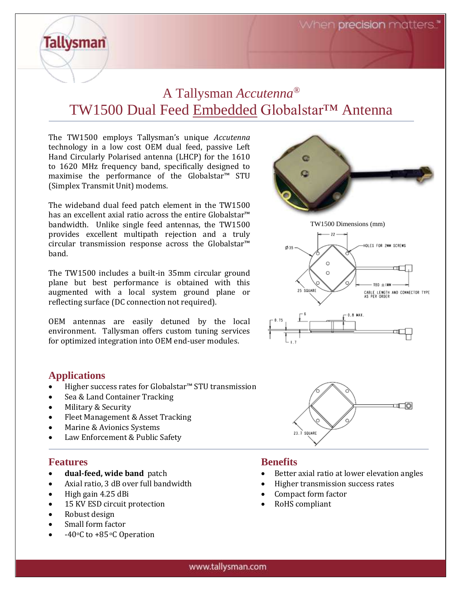When **precision** matters."

# A Tallysman *Accutenna®* TW1500 Dual Feed Embedded Globalstar™ Antenna

The TW1500 employs Tallysman's unique *Accutenna*  technology in a low cost OEM dual feed, passive Left Hand Circularly Polarised antenna (LHCP) for the 1610 to 1620 MHz frequency band, specifically designed to maximise the performance of the Globalstar™ STU (Simplex Transmit Unit) modems.

The wideband dual feed patch element in the TW1500 has an excellent axial ratio across the entire Globalstar™ bandwidth. Unlike single feed antennas, the TW1500 provides excellent multipath rejection and a truly circular transmission response across the Globalstar™ band.

The TW1500 includes a built-in 35mm circular ground plane but best performance is obtained with this augmented with a local system ground plane or reflecting surface (DC connection not required).

OEM antennas are easily detuned by the local environment. Tallysman offers custom tuning services for optimized integration into OEM end-user modules.

# **Applications**

**Tallysman** 

- Higher success rates for Globalstar<sup>™</sup> STU transmission
- Sea & Land Container Tracking
- Military & Security
- Fleet Management & Asset Tracking
- Marine & Avionics Systems
- Law Enforcement & Public Safety

# **Features**

- **dual-feed, wide band** patch
- Axial ratio, 3 dB over full bandwidth
- High gain 4.25 dBi
- 15 KV ESD circuit protection
- Robust design
- Small form factor
- -40 $\circ$ C to +85 $\circ$ C Operation



# **Benefits**

- Better axial ratio at lower elevation angles
- Higher transmission success rates
- Compact form factor
- RoHS compliant